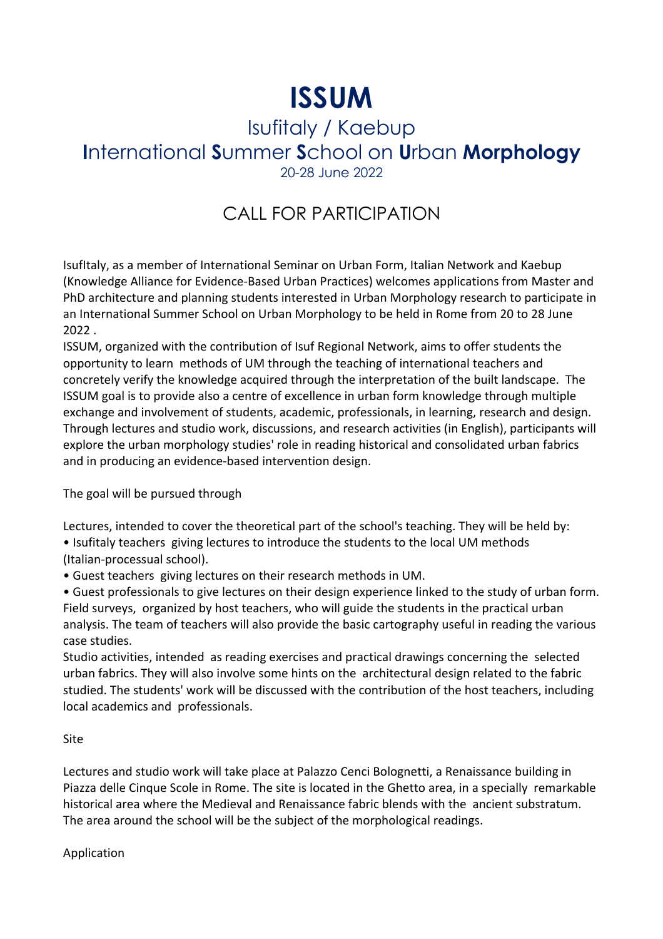# **ISSUM**

### Isufitaly / Kaebup **I**nternational **S**ummer **S**chool on **U**rban **Morphology** 20-28 June 2022

## CALL FOR PARTICIPATION

IsufItaly, as a member of International Seminar on Urban Form, Italian Network and Kaebup (Knowledge Alliance for Evidence-Based Urban Practices) welcomes applications from Master and PhD architecture and planning students interested in Urban Morphology research to participate in an International Summer School on Urban Morphology to be held in Rome from 20 to 28 June 2022 .

ISSUM, organized with the contribution of Isuf Regional Network, aims to offer students the opportunity to learn methods of UM through the teaching of international teachers and concretely verify the knowledge acquired through the interpretation of the built landscape. The ISSUM goal is to provide also a centre of excellence in urban form knowledge through multiple exchange and involvement of students, academic, professionals, in learning, research and design. Through lectures and studio work, discussions, and research activities (in English), participants will explore the urban morphology studies' role in reading historical and consolidated urban fabrics and in producing an evidence-based intervention design.

The goal will be pursued through

Lectures, intended to cover the theoretical part of the school's teaching. They will be held by: • Isufitaly teachers giving lectures to introduce the students to the local UM methods (Italian-processual school).

• Guest teachers giving lectures on their research methods in UM.

• Guest professionals to give lectures on their design experience linked to the study of urban form. Field surveys, organized by host teachers, who will guide the students in the practical urban analysis. The team of teachers will also provide the basic cartography useful in reading the various case studies.

Studio activities, intended as reading exercises and practical drawings concerning the selected urban fabrics. They will also involve some hints on the architectural design related to the fabric studied. The students' work will be discussed with the contribution of the host teachers, including local academics and professionals.

#### Site

Lectures and studio work will take place at Palazzo Cenci Bolognetti, a Renaissance building in Piazza delle Cinque Scole in Rome. The site is located in the Ghetto area, in a specially remarkable historical area where the Medieval and Renaissance fabric blends with the ancient substratum. The area around the school will be the subject of the morphological readings.

Application